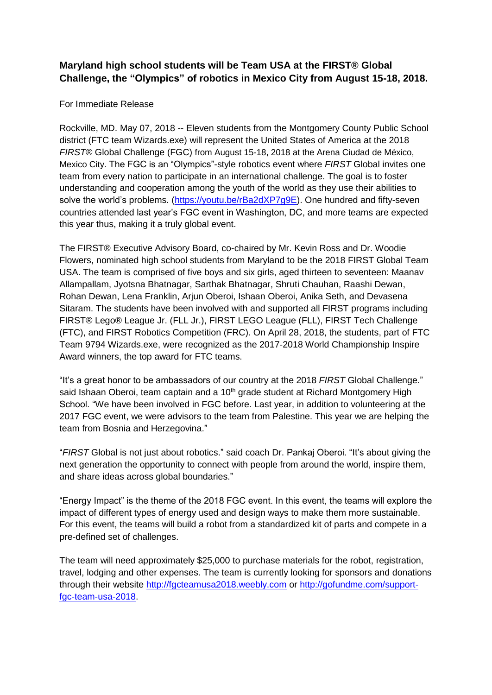## **Maryland high school students will be Team USA at the FIRST® Global Challenge, the "Olympics" of robotics in Mexico City from August 15-18, 2018.**

## For Immediate Release

Rockville, MD. May 07, 2018 -- Eleven students from the Montgomery County Public School district (FTC team Wizards.exe) will represent the United States of America at the 2018 *FIRST*® Global Challenge (FGC) from August 15-18, 2018 at the Arena Ciudad de México, Mexico City. The FGC is an "Olympics"-style robotics event where *FIRST* Global invites one team from every nation to participate in an international challenge. The goal is to foster understanding and cooperation among the youth of the world as they use their abilities to solve the world's problems. (https://youtu.be/rBa2dXP7q9E). One hundred and fifty-seven countries attended last year's FGC event in Washington, DC, and more teams are expected this year thus, making it a truly global event.

The FIRST® Executive Advisory Board, co-chaired by Mr. Kevin Ross and Dr. Woodie Flowers, nominated high school students from Maryland to be the 2018 FIRST Global Team USA. The team is comprised of five boys and six girls, aged thirteen to seventeen: Maanav Allampallam, Jyotsna Bhatnagar, Sarthak Bhatnagar, Shruti Chauhan, Raashi Dewan, Rohan Dewan, Lena Franklin, Arjun Oberoi, Ishaan Oberoi, Anika Seth, and Devasena Sitaram. The students have been involved with and supported all FIRST programs including FIRST® Lego® League Jr. (FLL Jr.), FIRST LEGO League (FLL), FIRST Tech Challenge (FTC), and FIRST Robotics Competition (FRC). On April 28, 2018, the students, part of FTC Team 9794 Wizards.exe, were recognized as the 2017-2018 World Championship Inspire Award winners, the top award for FTC teams.

"It's a great honor to be ambassadors of our country at the 2018 *FIRST* Global Challenge." said Ishaan Oberoi, team captain and a 10<sup>th</sup> grade student at Richard Montgomery High School. "We have been involved in FGC before. Last year, in addition to volunteering at the 2017 FGC event, we were advisors to the team from Palestine. This year we are helping the team from Bosnia and Herzegovina."

"*FIRST* Global is not just about robotics." said coach Dr. Pankaj Oberoi. "It's about giving the next generation the opportunity to connect with people from around the world, inspire them, and share ideas across global boundaries."

"Energy Impact" is the theme of the 2018 FGC event. In this event, the teams will explore the impact of different types of energy used and design ways to make them more sustainable. For this event, the teams will build a robot from a standardized kit of parts and compete in a pre-defined set of challenges.

The team will need approximately \$25,000 to purchase materials for the robot, registration, travel, lodging and other expenses. The team is currently looking for sponsors and donations through their website [http://fgcteamusa2018.weebly.com](http://fgcteamusa2018.weebly.com/) or [http://gofundme.com/support](http://gofundme.com/support-fgc-team-usa-2018)[fgc-team-usa-2018.](http://gofundme.com/support-fgc-team-usa-2018)